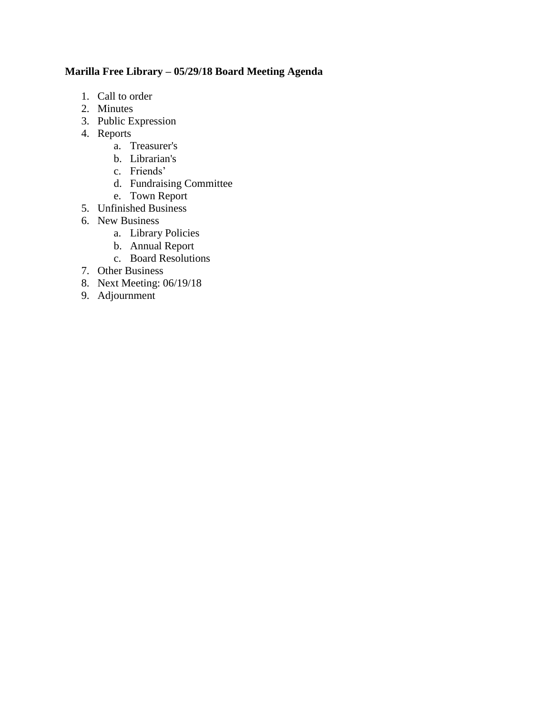# **Marilla Free Library – 05/29/18 Board Meeting Agenda**

- 1. Call to order
- 2. Minutes
- 3. Public Expression
- 4. Reports
	- a. Treasurer's
	- b. Librarian's
	- c. Friends'
	- d. Fundraising Committee
	- e. Town Report
- 5. Unfinished Business
- 6. New Business
	- a. Library Policies
	- b. Annual Report
	- c. Board Resolutions
- 7. Other Business
- 8. Next Meeting: 06/19/18
- 9. Adjournment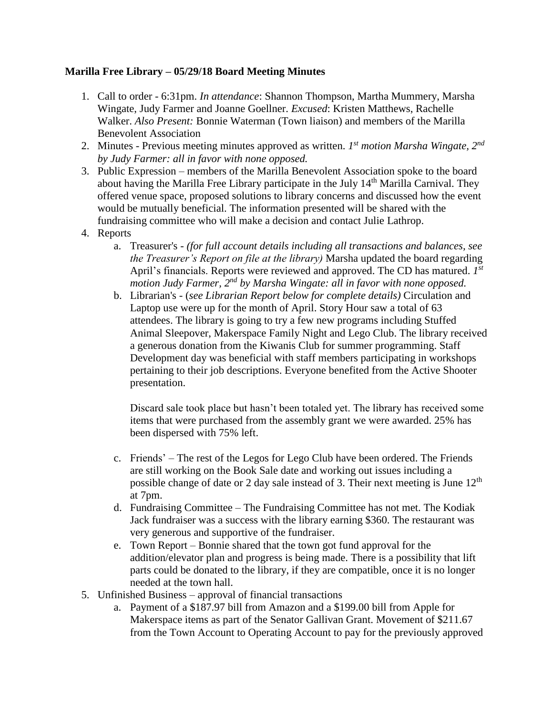# **Marilla Free Library – 05/29/18 Board Meeting Minutes**

- 1. Call to order 6:31pm. *In attendance*: Shannon Thompson, Martha Mummery, Marsha Wingate, Judy Farmer and Joanne Goellner. *Excused*: Kristen Matthews, Rachelle Walker. *Also Present:* Bonnie Waterman (Town liaison) and members of the Marilla Benevolent Association
- 2. Minutes Previous meeting minutes approved as written. *1 st motion Marsha Wingate, 2nd by Judy Farmer: all in favor with none opposed.*
- 3. Public Expression members of the Marilla Benevolent Association spoke to the board about having the Marilla Free Library participate in the July 14<sup>th</sup> Marilla Carnival. They offered venue space, proposed solutions to library concerns and discussed how the event would be mutually beneficial. The information presented will be shared with the fundraising committee who will make a decision and contact Julie Lathrop.
- 4. Reports
	- a. Treasurer's *(for full account details including all transactions and balances, see the Treasurer's Report on file at the library)* Marsha updated the board regarding April's financials. Reports were reviewed and approved. The CD has matured. *1 st motion Judy Farmer, 2nd by Marsha Wingate: all in favor with none opposed.*
	- b. Librarian's (*see Librarian Report below for complete details)* Circulation and Laptop use were up for the month of April. Story Hour saw a total of 63 attendees. The library is going to try a few new programs including Stuffed Animal Sleepover, Makerspace Family Night and Lego Club. The library received a generous donation from the Kiwanis Club for summer programming. Staff Development day was beneficial with staff members participating in workshops pertaining to their job descriptions. Everyone benefited from the Active Shooter presentation.

Discard sale took place but hasn't been totaled yet. The library has received some items that were purchased from the assembly grant we were awarded. 25% has been dispersed with 75% left.

- c. Friends' The rest of the Legos for Lego Club have been ordered. The Friends are still working on the Book Sale date and working out issues including a possible change of date or 2 day sale instead of 3. Their next meeting is June  $12<sup>th</sup>$ at 7pm.
- d. Fundraising Committee The Fundraising Committee has not met. The Kodiak Jack fundraiser was a success with the library earning \$360. The restaurant was very generous and supportive of the fundraiser.
- e. Town Report Bonnie shared that the town got fund approval for the addition/elevator plan and progress is being made. There is a possibility that lift parts could be donated to the library, if they are compatible, once it is no longer needed at the town hall.
- 5. Unfinished Business approval of financial transactions
	- a. Payment of a \$187.97 bill from Amazon and a \$199.00 bill from Apple for Makerspace items as part of the Senator Gallivan Grant. Movement of \$211.67 from the Town Account to Operating Account to pay for the previously approved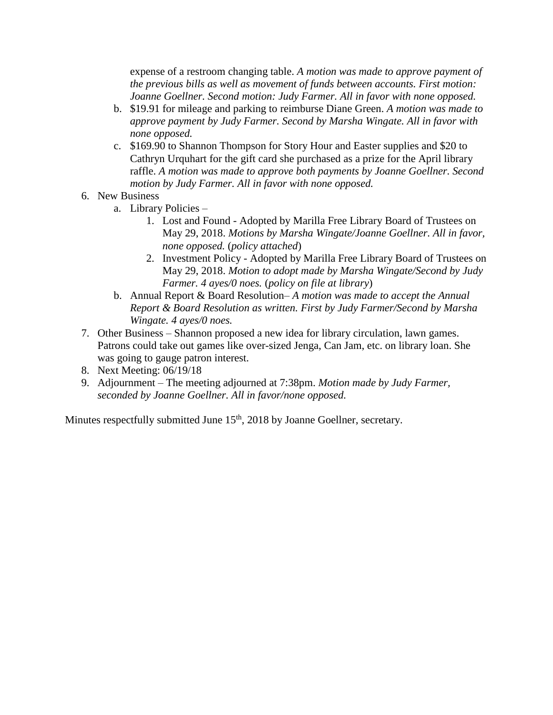expense of a restroom changing table. *A motion was made to approve payment of the previous bills as well as movement of funds between accounts. First motion: Joanne Goellner. Second motion: Judy Farmer. All in favor with none opposed.*

- b. \$19.91 for mileage and parking to reimburse Diane Green. *A motion was made to approve payment by Judy Farmer. Second by Marsha Wingate. All in favor with none opposed.*
- c. \$169.90 to Shannon Thompson for Story Hour and Easter supplies and \$20 to Cathryn Urquhart for the gift card she purchased as a prize for the April library raffle. *A motion was made to approve both payments by Joanne Goellner. Second motion by Judy Farmer. All in favor with none opposed.*
- 6. New Business
	- a. Library Policies
		- 1. Lost and Found Adopted by Marilla Free Library Board of Trustees on May 29, 2018. *Motions by Marsha Wingate/Joanne Goellner. All in favor, none opposed.* (*policy attached*)
		- 2. Investment Policy Adopted by Marilla Free Library Board of Trustees on May 29, 2018. *Motion to adopt made by Marsha Wingate/Second by Judy Farmer. 4 ayes/0 noes.* (*policy on file at library*)
	- b. Annual Report & Board Resolution– *A motion was made to accept the Annual Report & Board Resolution as written. First by Judy Farmer/Second by Marsha Wingate. 4 ayes/0 noes.*
- 7. Other Business Shannon proposed a new idea for library circulation, lawn games. Patrons could take out games like over-sized Jenga, Can Jam, etc. on library loan. She was going to gauge patron interest.
- 8. Next Meeting: 06/19/18
- 9. Adjournment The meeting adjourned at 7:38pm. *Motion made by Judy Farmer, seconded by Joanne Goellner. All in favor/none opposed.*

Minutes respectfully submitted June 15<sup>th</sup>, 2018 by Joanne Goellner, secretary.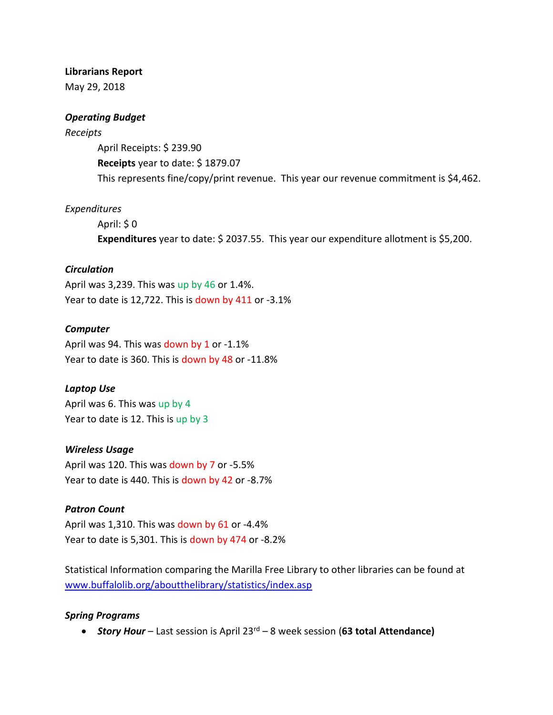#### **Librarians Report**

May 29, 2018

## *Operating Budget*

#### *Receipts*

April Receipts: \$ 239.90 **Receipts** year to date: \$ 1879.07 This represents fine/copy/print revenue. This year our revenue commitment is \$4,462.

## *Expenditures*

April: \$ 0 **Expenditures** year to date: \$ 2037.55. This year our expenditure allotment is \$5,200.

## *Circulation*

April was 3,239. This was up by 46 or 1.4%. Year to date is 12,722. This is down by 411 or -3.1%

## *Computer*

April was 94. This was down by 1 or -1.1% Year to date is 360. This is down by 48 or -11.8%

# *Laptop Use*

April was 6. This was up by 4 Year to date is 12. This is up by 3

#### *Wireless Usage*

April was 120. This was down by 7 or -5.5% Year to date is 440. This is down by 42 or -8.7%

# *Patron Count*

April was 1,310. This was down by 61 or -4.4% Year to date is 5,301. This is down by 474 or -8.2%

Statistical Information comparing the Marilla Free Library to other libraries can be found at [www.buffalolib.org/aboutthelibrary/statistics/index.asp](http://www.buffalolib.org/aboutthelibrary/statistics/index.asp)

#### *Spring Programs*

*Story Hour* – Last session is April 23rd – 8 week session (**63 total Attendance)**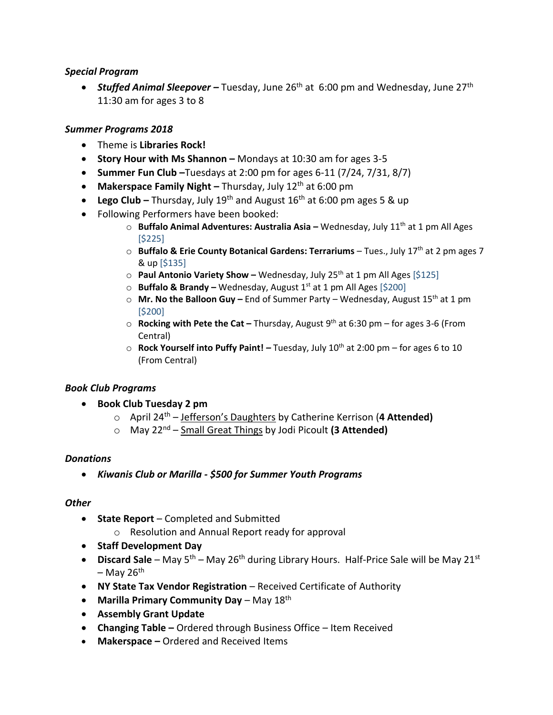## *Special Program*

■ **Stuffed Animal Sleepover** – Tuesday, June 26<sup>th</sup> at 6:00 pm and Wednesday, June 27<sup>th</sup> 11:30 am for ages 3 to 8

# *Summer Programs 2018*

- Theme is **Libraries Rock!**
- **Story Hour with Ms Shannon –** Mondays at 10:30 am for ages 3-5
- **Summer Fun Club –**Tuesdays at 2:00 pm for ages 6-11 (7/24, 7/31, 8/7)
- Makerspace Family Night Thursday, July 12<sup>th</sup> at 6:00 pm
- **Lego Club –** Thursday, July 19<sup>th</sup> and August 16<sup>th</sup> at 6:00 pm ages 5 & up
- Following Performers have been booked:
	- o **Buffalo Animal Adventures: Australia Asia –** Wednesday, July 11th at 1 pm All Ages [\$225]
	- o **Buffalo & Erie County Botanical Gardens: Terrariums** Tues., July 17th at 2 pm ages 7 & up [\$135]
	- o **Paul Antonio Variety Show –** Wednesday, July 25th at 1 pm All Ages [\$125]
	- o **Buffalo & Brandy –** Wednesday, August 1st at 1 pm All Ages [\$200]
	- o **Mr. No the Balloon Guy –** End of Summer Party Wednesday, August 15th at 1 pm [\$200]
	- o **Rocking with Pete the Cat –** Thursday, August 9th at 6:30 pm for ages 3-6 (From Central)
	- o **Rock Yourself into Puffy Paint!** *–* Tuesday, July 10th at 2:00 pm for ages 6 to 10 (From Central)

# *Book Club Programs*

- **Book Club Tuesday 2 pm** 
	- o April 24th Jefferson's Daughters by Catherine Kerrison (**4 Attended)**
	- o May 22nd Small Great Things by Jodi Picoult **(3 Attended)**

#### *Donations*

*Kiwanis Club or Marilla - \$500 for Summer Youth Programs*

#### *Other*

- **State Report** Completed and Submitted
	- o Resolution and Annual Report ready for approval
- **Staff Development Day**
- **Discard Sale** May 5<sup>th</sup> May 26<sup>th</sup> during Library Hours. Half-Price Sale will be May 21<sup>st</sup>  $-$  May 26<sup>th</sup>
- **NY State Tax Vendor Registration** Received Certificate of Authority
- **•** Marilla Primary Community Day May 18<sup>th</sup>
- **Assembly Grant Update**
- **Changing Table –** Ordered through Business Office Item Received
- **Makerspace –** Ordered and Received Items